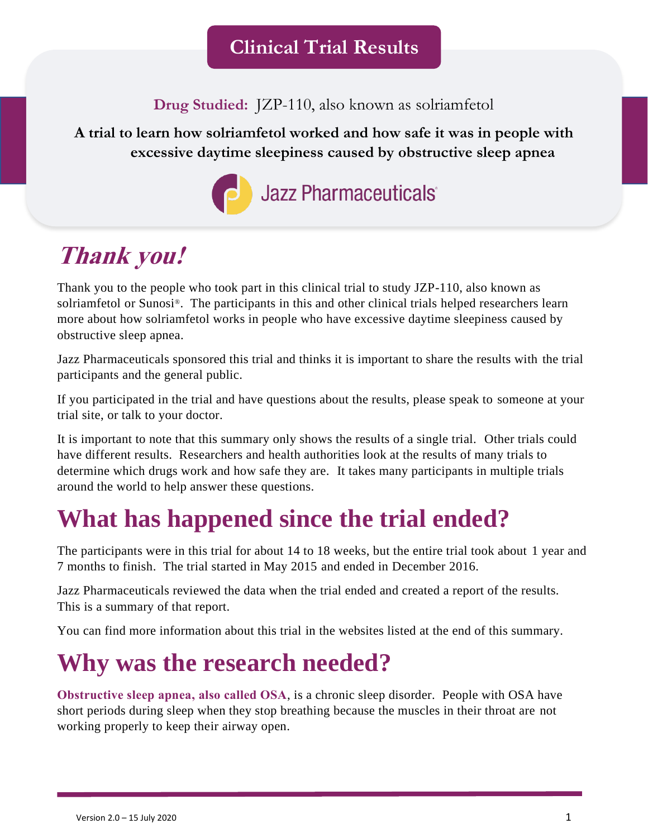**Drug Studied:** JZP-110, also known as solriamfetol

**A trial to learn how solriamfetol worked and how safe it was in people with excessive daytime sleepiness caused by obstructive sleep apnea**



# **Thank you!**

Thank you to the people who took part in this clinical trial to study JZP-110, also known as solriamfetol or Sunosi®. The participants in this and other clinical trials helped researchers learn more about how solriamfetol works in people who have excessive daytime sleepiness caused by obstructive sleep apnea.

Jazz Pharmaceuticals sponsored this trial and thinks it is important to share the results with the trial participants and the general public.

If you participated in the trial and have questions about the results, please speak to someone at your trial site, or talk to your doctor.

It is important to note that this summary only shows the results of a single trial. Other trials could have different results. Researchers and health authorities look at the results of many trials to determine which drugs work and how safe they are. It takes many participants in multiple trials around the world to help answer these questions.

# **What has happened since the trial ended?**

The participants were in this trial for about 14 to 18 weeks, but the entire trial took about 1 year and 7 months to finish. The trial started in May 2015 and ended in December 2016.

Jazz Pharmaceuticals reviewed the data when the trial ended and created a report of the results. This is a summary of that report.

You can find more information about this trial in the websites listed at the end of this summary.

# **Why was the research needed?**

**Obstructive sleep apnea, also called OSA**, is a chronic sleep disorder. People with OSA have short periods during sleep when they stop breathing because the muscles in their throat are not working properly to keep their airway open.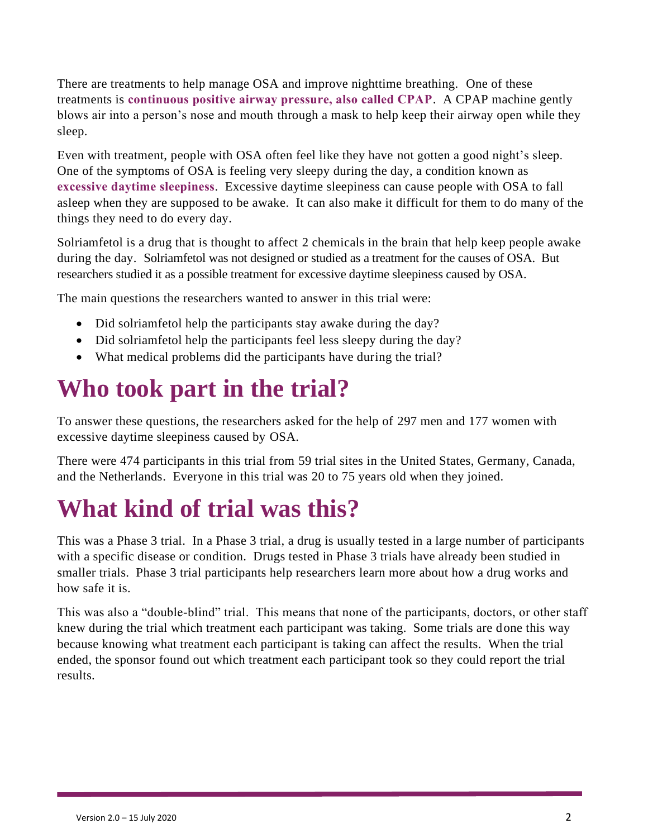There are treatments to help manage OSA and improve nighttime breathing. One of these treatments is **continuous positive airway pressure, also called CPAP**. A CPAP machine gently blows air into a person's nose and mouth through a mask to help keep their airway open while they sleep.

Even with treatment, people with OSA often feel like they have not gotten a good night's sleep. One of the symptoms of OSA is feeling very sleepy during the day, a condition known as **excessive daytime sleepiness**. Excessive daytime sleepiness can cause people with OSA to fall asleep when they are supposed to be awake. It can also make it difficult for them to do many of the things they need to do every day.

Solriamfetol is a drug that is thought to affect 2 chemicals in the brain that help keep people awake during the day. Solriamfetol was not designed or studied as a treatment for the causes of OSA. But researchers studied it as a possible treatment for excessive daytime sleepiness caused by OSA.

The main questions the researchers wanted to answer in this trial were:

- Did solriamfetol help the participants stay awake during the day?
- Did solriamfetol help the participants feel less sleepy during the day?
- What medical problems did the participants have during the trial?

### **Who took part in the trial?**

To answer these questions, the researchers asked for the help of 297 men and 177 women with excessive daytime sleepiness caused by OSA.

There were 474 participants in this trial from 59 trial sites in the United States, Germany, Canada, and the Netherlands. Everyone in this trial was 20 to 75 years old when they joined.

### **What kind of trial was this?**

This was a Phase 3 trial. In a Phase 3 trial, a drug is usually tested in a large number of participants with a specific disease or condition. Drugs tested in Phase 3 trials have already been studied in smaller trials. Phase 3 trial participants help researchers learn more about how a drug works and how safe it is.

This was also a "double-blind" trial. This means that none of the participants, doctors, or other staff knew during the trial which treatment each participant was taking. Some trials are done this way because knowing what treatment each participant is taking can affect the results. When the trial ended, the sponsor found out which treatment each participant took so they could report the trial results.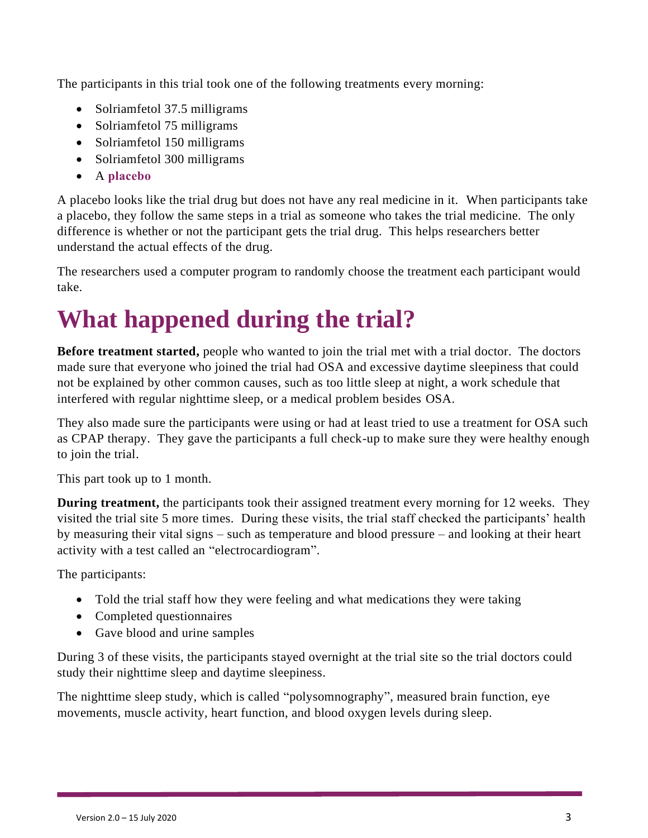The participants in this trial took one of the following treatments every morning:

- Solriamfetol 37.5 milligrams
- Solriamfetol 75 milligrams
- Solriamfetol 150 milligrams
- Solriamfetol 300 milligrams
- A **placebo**

A placebo looks like the trial drug but does not have any real medicine in it. When participants take a placebo, they follow the same steps in a trial as someone who takes the trial medicine. The only difference is whether or not the participant gets the trial drug. This helps researchers better understand the actual effects of the drug.

The researchers used a computer program to randomly choose the treatment each participant would take.

# **What happened during the trial?**

**Before treatment started,** people who wanted to join the trial met with a trial doctor. The doctors made sure that everyone who joined the trial had OSA and excessive daytime sleepiness that could not be explained by other common causes, such as too little sleep at night, a work schedule that interfered with regular nighttime sleep, or a medical problem besides OSA.

They also made sure the participants were using or had at least tried to use a treatment for OSA such as CPAP therapy. They gave the participants a full check-up to make sure they were healthy enough to join the trial.

This part took up to 1 month.

**During treatment,** the participants took their assigned treatment every morning for 12 weeks. They visited the trial site 5 more times. During these visits, the trial staff checked the participants' health by measuring their vital signs – such as temperature and blood pressure – and looking at their heart activity with a test called an "electrocardiogram".

The participants:

- Told the trial staff how they were feeling and what medications they were taking
- Completed questionnaires
- Gave blood and urine samples

During 3 of these visits, the participants stayed overnight at the trial site so the trial doctors could study their nighttime sleep and daytime sleepiness.

The nighttime sleep study, which is called "polysomnography", measured brain function, eye movements, muscle activity, heart function, and blood oxygen levels during sleep.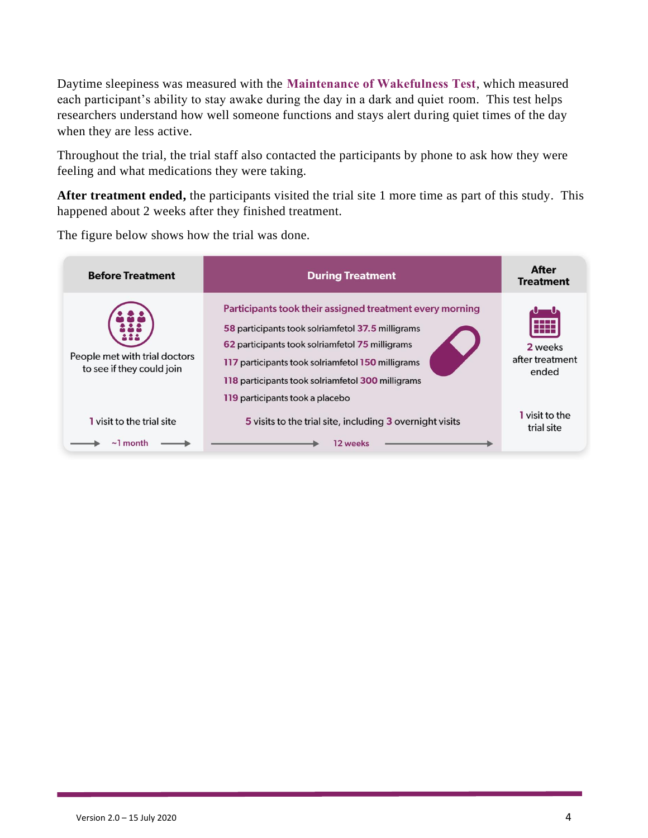Daytime sleepiness was measured with the **Maintenance of Wakefulness Test**, which measured each participant's ability to stay awake during the day in a dark and quiet room. This test helps researchers understand how well someone functions and stays alert during quiet times of the day when they are less active.

Throughout the trial, the trial staff also contacted the participants by phone to ask how they were feeling and what medications they were taking.

**After treatment ended,** the participants visited the trial site 1 more time as part of this study. This happened about 2 weeks after they finished treatment.

**After Before Treatment During Treatment Treatment** Participants took their assigned treatment every morning 58 participants took solriamfetol 37.5 milligrams 62 participants took solriamfetol 75 milligrams 2 weeks People met with trial doctors after treatment 117 participants took solriamfetol 150 milligrams to see if they could join ended 118 participants took solriamfetol 300 milligrams 119 participants took a placebo I visit to the 5 visits to the trial site, including 3 overnight visits I visit to the trial site trial site  $\sim$  1 month 12 weeks

The figure below shows how the trial was done.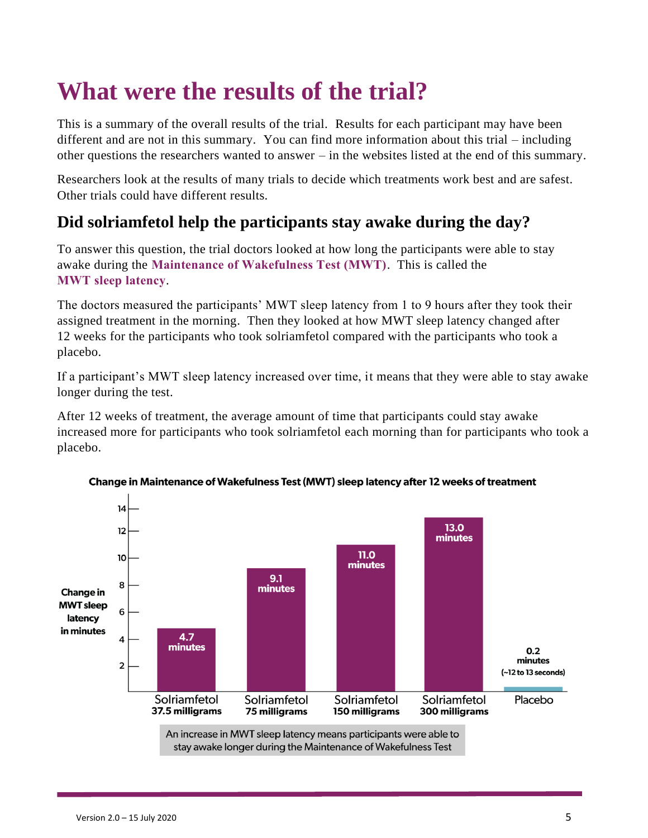### **What were the results of the trial?**

This is a summary of the overall results of the trial. Results for each participant may have been different and are not in this summary. You can find more information about this trial – including other questions the researchers wanted to answer – in the websites listed at the end of this summary.

Researchers look at the results of many trials to decide which treatments work best and are safest. Other trials could have different results.

### **Did solriamfetol help the participants stay awake during the day?**

To answer this question, the trial doctors looked at how long the participants were able to stay awake during the **Maintenance of Wakefulness Test (MWT)**. This is called the **MWT sleep latency**.

The doctors measured the participants' MWT sleep latency from 1 to 9 hours after they took their assigned treatment in the morning. Then they looked at how MWT sleep latency changed after 12 weeks for the participants who took solriamfetol compared with the participants who took a placebo.

If a participant's MWT sleep latency increased over time, it means that they were able to stay awake longer during the test.

After 12 weeks of treatment, the average amount of time that participants could stay awake increased more for participants who took solriamfetol each morning than for participants who took a placebo.



Change in Maintenance of Wakefulness Test (MWT) sleep latency after 12 weeks of treatment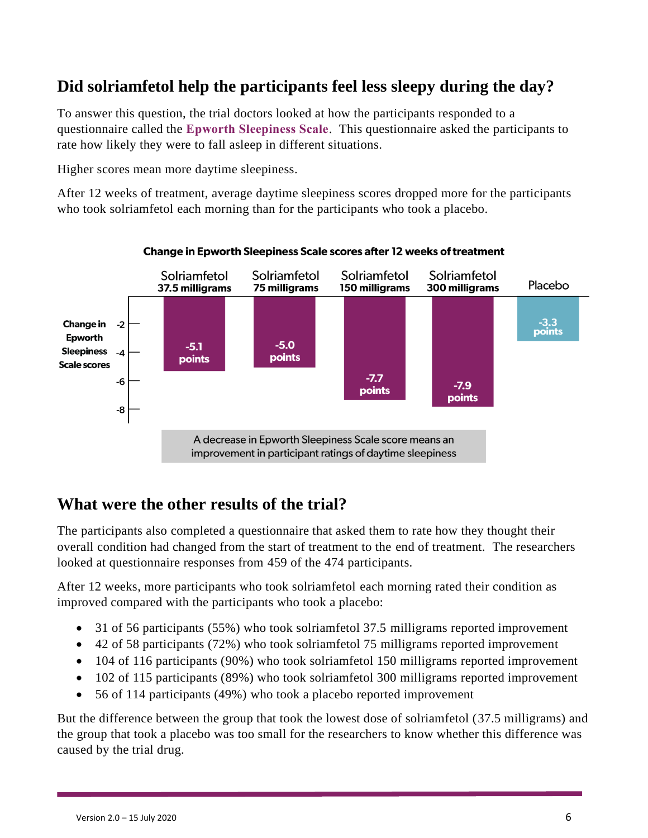### **Did solriamfetol help the participants feel less sleepy during the day?**

To answer this question, the trial doctors looked at how the participants responded to a questionnaire called the **Epworth Sleepiness Scale**. This questionnaire asked the participants to rate how likely they were to fall asleep in different situations.

Higher scores mean more daytime sleepiness.

After 12 weeks of treatment, average daytime sleepiness scores dropped more for the participants who took solriamfetol each morning than for the participants who took a placebo.



#### Change in Epworth Sleepiness Scale scores after 12 weeks of treatment

### **What were the other results of the trial?**

The participants also completed a questionnaire that asked them to rate how they thought their overall condition had changed from the start of treatment to the end of treatment. The researchers looked at questionnaire responses from 459 of the 474 participants.

After 12 weeks, more participants who took solriamfetol each morning rated their condition as improved compared with the participants who took a placebo:

- 31 of 56 participants (55%) who took solriamfetol 37.5 milligrams reported improvement
- 42 of 58 participants (72%) who took solriamfetol 75 milligrams reported improvement
- 104 of 116 participants (90%) who took solriamfetol 150 milligrams reported improvement
- 102 of 115 participants (89%) who took solriamfetol 300 milligrams reported improvement
- 56 of 114 participants (49%) who took a placebo reported improvement

But the difference between the group that took the lowest dose of solriamfetol (37.5 milligrams) and the group that took a placebo was too small for the researchers to know whether this difference was caused by the trial drug.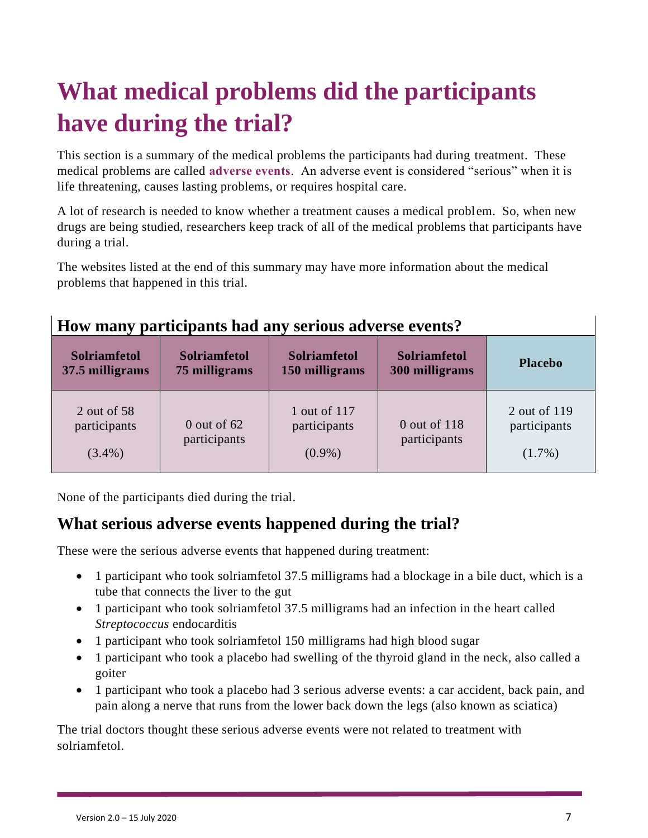# **What medical problems did the participants have during the trial?**

This section is a summary of the medical problems the participants had during treatment. These medical problems are called **adverse events**. An adverse event is considered "serious" when it is life threatening, causes lasting problems, or requires hospital care.

A lot of research is needed to know whether a treatment causes a medical problem. So, when new drugs are being studied, researchers keep track of all of the medical problems that participants have during a trial.

The websites listed at the end of this summary may have more information about the medical problems that happened in this trial.

| How many participants had any serious adverse events? |  |
|-------------------------------------------------------|--|
|                                                       |  |

| <b>Solriamfetol</b>                      | <b>Solriamfetol</b>           | <b>Solriamfetol</b>                       | <b>Solriamfetol</b>          | <b>Placebo</b>                            |
|------------------------------------------|-------------------------------|-------------------------------------------|------------------------------|-------------------------------------------|
| 37.5 milligrams                          | 75 milligrams                 | 150 milligrams                            | 300 milligrams               |                                           |
| 2 out of 58<br>participants<br>$(3.4\%)$ | $0$ out of 62<br>participants | 1 out of 117<br>participants<br>$(0.9\%)$ | 0 out of 118<br>participants | 2 out of 119<br>participants<br>$(1.7\%)$ |

None of the participants died during the trial.

### **What serious adverse events happened during the trial?**

These were the serious adverse events that happened during treatment:

- 1 participant who took solriamfetol 37.5 milligrams had a blockage in a bile duct, which is a tube that connects the liver to the gut
- 1 participant who took solriamfetol 37.5 milligrams had an infection in the heart called *Streptococcus* endocarditis
- 1 participant who took solriamfetol 150 milligrams had high blood sugar
- 1 participant who took a placebo had swelling of the thyroid gland in the neck, also called a goiter
- 1 participant who took a placebo had 3 serious adverse events: a car accident, back pain, and pain along a nerve that runs from the lower back down the legs (also known as sciatica)

The trial doctors thought these serious adverse events were not related to treatment with solriamfetol.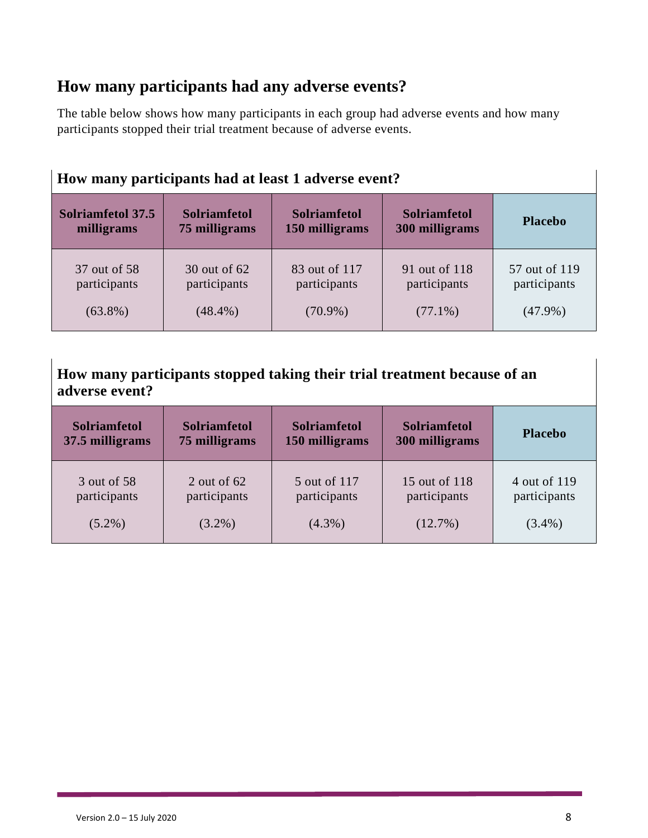### **How many participants had any adverse events?**

The table below shows how many participants in each group had adverse events and how many participants stopped their trial treatment because of adverse events.

| How many participants had at least 1 adverse event? |                     |                     |                     |                |  |
|-----------------------------------------------------|---------------------|---------------------|---------------------|----------------|--|
| Solriamfetol 37.5                                   | <b>Solriamfetol</b> | <b>Solriamfetol</b> | <b>Solriamfetol</b> | <b>Placebo</b> |  |
| milligrams                                          | 75 milligrams       | 150 milligrams      | 300 milligrams      |                |  |
| 37 out of 58                                        | 30 out of 62        | 83 out of 117       | 91 out of 118       | 57 out of 119  |  |
| participants                                        | participants        | participants        | participants        | participants   |  |
| $(63.8\%)$                                          | $(48.4\%)$          | $(70.9\%)$          | $(77.1\%)$          | $(47.9\%)$     |  |

**How many participants stopped taking their trial treatment because of an adverse event?**

| <b>Solriamfetol</b> | <b>Solriamfetol</b> | <b>Solriamfetol</b> | <b>Solriamfetol</b> | <b>Placebo</b> |
|---------------------|---------------------|---------------------|---------------------|----------------|
| 37.5 milligrams     | 75 milligrams       | 150 milligrams      | 300 milligrams      |                |
| 3 out of 58         | 2 out of $62$       | 5 out of 117        | 15 out of 118       | 4 out of 119   |
| participants        | participants        | participants        | participants        | participants   |
| $(5.2\%)$           | $(3.2\%)$           | $(4.3\%)$           | $(12.7\%)$          | $(3.4\%)$      |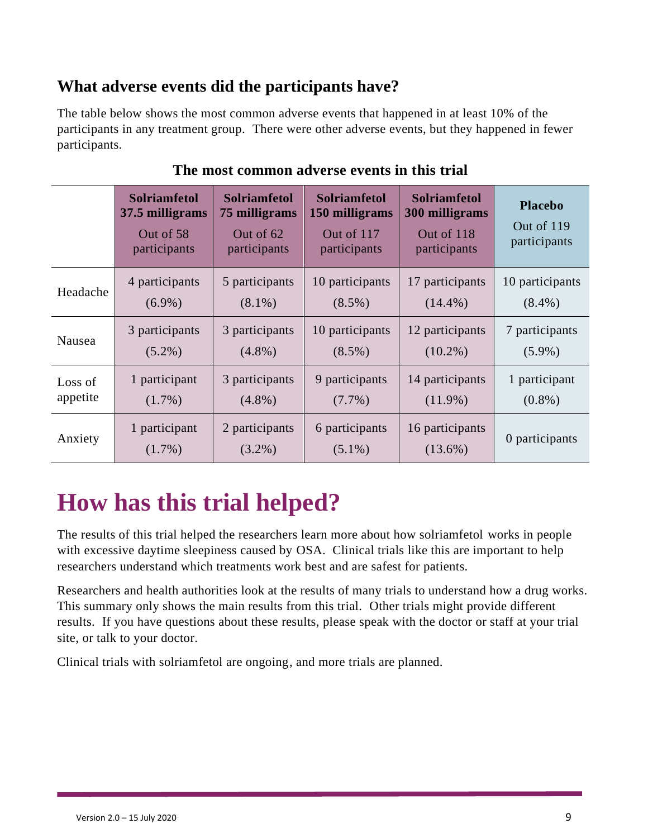### **What adverse events did the participants have?**

The table below shows the most common adverse events that happened in at least 10% of the participants in any treatment group. There were other adverse events, but they happened in fewer participants.

|          | <b>Solriamfetol</b><br>37.5 milligrams<br>Out of 58<br>participants | <b>Solriamfetol</b><br>75 milligrams<br>Out of 62<br>participants | <b>Solriamfetol</b><br>150 milligrams<br>Out of 117<br>participants | <b>Solriamfetol</b><br>300 milligrams<br>Out of 118<br>participants | <b>Placebo</b><br>Out of 119<br>participants |
|----------|---------------------------------------------------------------------|-------------------------------------------------------------------|---------------------------------------------------------------------|---------------------------------------------------------------------|----------------------------------------------|
| Headache | 4 participants                                                      | 5 participants                                                    | 10 participants                                                     | 17 participants                                                     | 10 participants                              |
|          | $(6.9\%)$                                                           | $(8.1\%)$                                                         | $(8.5\%)$                                                           | $(14.4\%)$                                                          | $(8.4\%)$                                    |
| Nausea   | 3 participants                                                      | 3 participants                                                    | 10 participants                                                     | 12 participants                                                     | 7 participants                               |
|          | $(5.2\%)$                                                           | $(4.8\%)$                                                         | $(8.5\%)$                                                           | $(10.2\%)$                                                          | $(5.9\%)$                                    |
| Loss of  | 1 participant                                                       | 3 participants                                                    | 9 participants                                                      | 14 participants                                                     | 1 participant                                |
| appetite | $(1.7\%)$                                                           | $(4.8\%)$                                                         | $(7.7\%)$                                                           | $(11.9\%)$                                                          | $(0.8\%)$                                    |
| Anxiety  | 1 participant<br>$(1.7\%)$                                          | 2 participants<br>$(3.2\%)$                                       | 6 participants<br>$(5.1\%)$                                         | 16 participants<br>$(13.6\%)$                                       | 0 participants                               |

#### **The most common adverse events in this trial**

### **How has this trial helped?**

The results of this trial helped the researchers learn more about how solriamfetol works in people with excessive daytime sleepiness caused by OSA. Clinical trials like this are important to help researchers understand which treatments work best and are safest for patients.

Researchers and health authorities look at the results of many trials to understand how a drug works. This summary only shows the main results from this trial. Other trials might provide different results. If you have questions about these results, please speak with the doctor or staff at your trial site, or talk to your doctor.

Clinical trials with solriamfetol are ongoing, and more trials are planned.